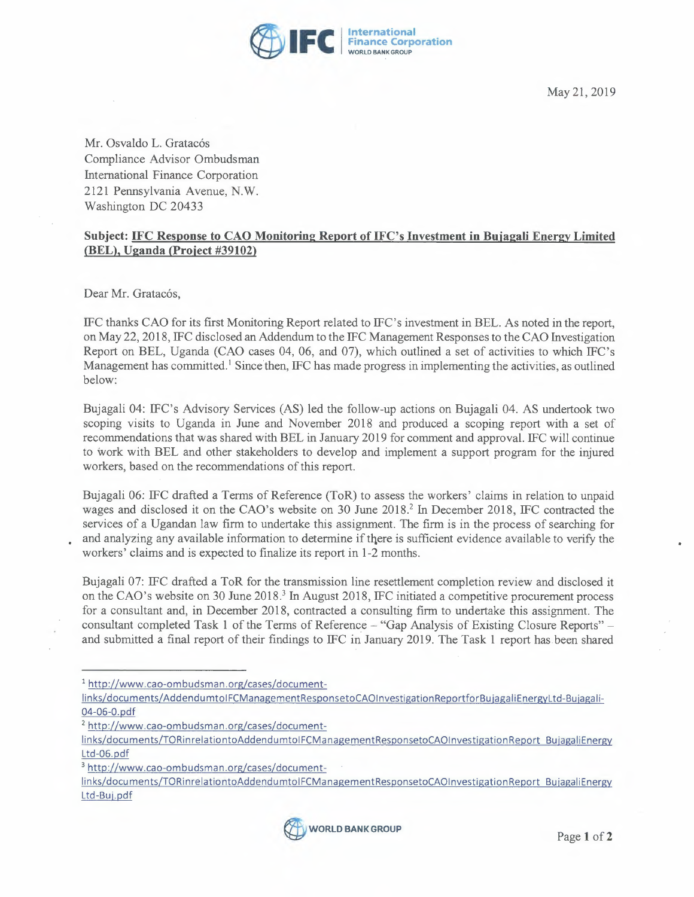

May 21, 2019

Mr. Osvaldo L. Gratacós Compliance Advisor Ombudsman International Finance Corporation 2121 Pennsylvania Avenue, N.W. Washington DC 20433

## **Subject: IFC Response to CAO Monitoring Report of IFC's Investment in Buiagali Energy Limited {BEL), Uganda (Proiect #39102)**

Dear Mr. Gratacós,

IFC thanks CAO for its first Monitoring Report related to IFC's investment in BEL. As noted in the report, on May 22, 2018, IFC disclosed an Addendum to the IFC Management Responses to the CAO Investigation Report on BEL, Uganda (CAO cases 04, 06, and 07), which outlined a set of activities to which IFC's Management has committed.<sup>1</sup> Since then, IFC has made progress in implementing the activities, as outlined below:

Bujagali 04: IFC's Advisory Services (AS) led the follow-up actions on Bujagali 04. AS undertook two scoping visits to Uganda in June and November 2018 and produced a scoping report with a set of recommendations that was shared with BEL in January 2019 for comment and approval. IFC will continue to work with BEL and other stakeholders to develop and implement a support program for the injured workers, based on the recommendations of this report.

Bujagali 06: IFC drafted a Terms of Reference (ToR) to assess the workers' claims in relation to unpaid wages and disclosed it on the CAO's website on 30 June 2018.<sup>2</sup> In December 2018, IFC contracted the services of a Ugandan law firm to undertake this assignment. The firm is in the process of searching for • and analyzing any available information to determine if there is sufficient evidence available to verify the workers' claims and is expected to finalize its report in 1-2 months.

Bujagali 07: IFC drafted a ToR for the transmission line resettlement completion review and disclosed it on the CAO's website on 30 June 2018.<sup>3</sup> In August 2018, IFC initiated a competitive procurement process for a consultant and, in December 2018, contracted a consulting firm to undertake this assignment. The consultant completed Task 1 of the Terms of Reference - "Gap Analysis of Existing Closure Reports" and submitted a final report of their findings to IFC in January 2019. The Task 1 report has been shared

links/documents/TORinrelationtoAddendumtolFCManagementResponsetoCAOlnvestigationReport BujagaliEnergy Ltd-Buj.pdf



<sup>1</sup> http://www.cao-ombudsman.org/cases/document-

links/documents/AddendumtoIFCManagementResponsetoCAOInvestigationReportforBujagaliEnergyLtd-Bujagali-04-06-0. pdf

<sup>2</sup> http://www.cao-ombudsman.org/cases/document-

links/documents/TORinrelationtoAddendumtolFCManagementResponsetoCAOlnvestigationReport BujagaliEnergy Ltd-06.pdf

<sup>3</sup> http://www.cao-ombudsman.org/cases/document-